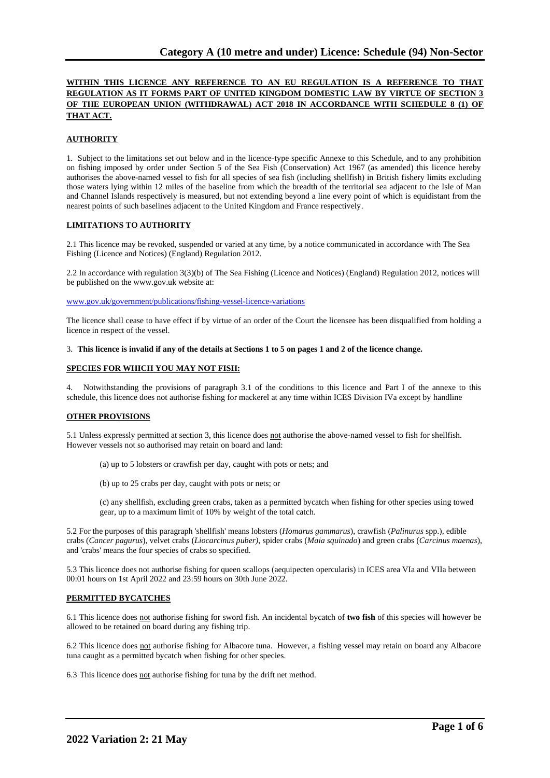# **WITHIN THIS LICENCE ANY REFERENCE TO AN EU REGULATION IS A REFERENCE TO THAT REGULATION AS IT FORMS PART OF UNITED KINGDOM DOMESTIC LAW BY VIRTUE OF SECTION 3 OF THE EUROPEAN UNION (WITHDRAWAL) ACT 2018 IN ACCORDANCE WITH SCHEDULE 8 (1) OF THAT ACT.**

# **AUTHORITY**

1. Subject to the limitations set out below and in the licence-type specific Annexe to this Schedule, and to any prohibition on fishing imposed by order under Section 5 of the Sea Fish (Conservation) Act 1967 (as amended) this licence hereby authorises the above-named vessel to fish for all species of sea fish (including shellfish) in British fishery limits excluding those waters lying within 12 miles of the baseline from which the breadth of the territorial sea adjacent to the Isle of Man and Channel Islands respectively is measured, but not extending beyond a line every point of which is equidistant from the nearest points of such baselines adjacent to the United Kingdom and France respectively.

# **LIMITATIONS TO AUTHORITY**

2.1 This licence may be revoked, suspended or varied at any time, by a notice communicated in accordance with The Sea Fishing (Licence and Notices) (England) Regulation 2012.

2.2 In accordance with regulation 3(3)(b) of The Sea Fishing (Licence and Notices) (England) Regulation 2012, notices will be published on the www.gov.uk website at:

[www.gov.uk/government/publications/fishing-vessel-licence-variations](http://www.gov.uk/government/publications/fishing-vessel-licence-variations)

The licence shall cease to have effect if by virtue of an order of the Court the licensee has been disqualified from holding a licence in respect of the vessel.

#### 3. **This licence is invalid if any of the details at Sections 1 to 5 on pages 1 and 2 of the licence change.**

#### **SPECIES FOR WHICH YOU MAY NOT FISH:**

4. Notwithstanding the provisions of paragraph 3.1 of the conditions to this licence and Part I of the annexe to this schedule, this licence does not authorise fishing for mackerel at any time within ICES Division IVa except by handline

# **OTHER PROVISIONS**

5.1 Unless expressly permitted at section 3, this licence does not authorise the above-named vessel to fish for shellfish. However vessels not so authorised may retain on board and land:

(a) up to 5 lobsters or crawfish per day, caught with pots or nets; and

(b) up to 25 crabs per day, caught with pots or nets; or

(c) any shellfish, excluding green crabs, taken as a permitted bycatch when fishing for other species using towed gear, up to a maximum limit of 10% by weight of the total catch.

5.2 For the purposes of this paragraph 'shellfish' means lobsters (*Homarus gammarus*), crawfish (*Palinurus* spp.), edible crabs (*Cancer pagurus*), velvet crabs (*Liocarcinus puber)*, spider crabs (*Maia squinado*) and green crabs (*Carcinus maenas*), and 'crabs' means the four species of crabs so specified.

5.3 This licence does not authorise fishing for queen scallops (aequipecten opercularis) in ICES area VIa and VIIa between 00:01 hours on 1st April 2022 and 23:59 hours on 30th June 2022.

#### **PERMITTED BYCATCHES**

6.1 This licence does not authorise fishing for sword fish. An incidental bycatch of **two fish** of this species will however be allowed to be retained on board during any fishing trip.

6.2 This licence does not authorise fishing for Albacore tuna. However, a fishing vessel may retain on board any Albacore tuna caught as a permitted bycatch when fishing for other species.

6.3 This licence does not authorise fishing for tuna by the drift net method.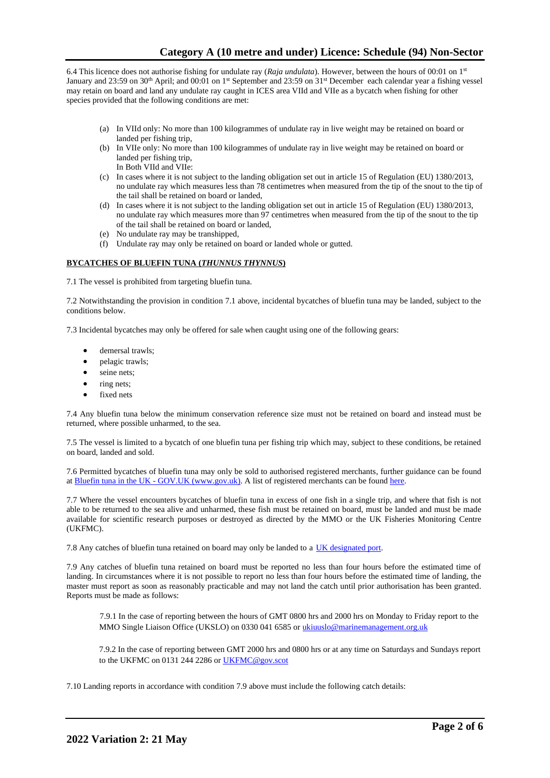6.4 This licence does not authorise fishing for undulate ray (*Raja undulata*). However, between the hours of 00:01 on 1st January and 23:59 on 30<sup>th</sup> April; and 00:01 on 1<sup>st</sup> September and 23:59 on 31<sup>st</sup> December each calendar year a fishing vessel may retain on board and land any undulate ray caught in ICES area VIId and VIIe as a bycatch when fishing for other species provided that the following conditions are met:

- (a) In VIId only: No more than 100 kilogrammes of undulate ray in live weight may be retained on board or landed per fishing trip,
- (b) In VIIe only: No more than 100 kilogrammes of undulate ray in live weight may be retained on board or landed per fishing trip, In Both VIId and VIIe:
- (c) In cases where it is not subject to the landing obligation set out in article 15 of Regulation (EU) 1380/2013, no undulate ray which measures less than 78 centimetres when measured from the tip of the snout to the tip of the tail shall be retained on board or landed,
- (d) In cases where it is not subject to the landing obligation set out in article 15 of Regulation (EU) 1380/2013, no undulate ray which measures more than 97 centimetres when measured from the tip of the snout to the tip of the tail shall be retained on board or landed,
- (e) No undulate ray may be transhipped,
- (f) Undulate ray may only be retained on board or landed whole or gutted.

# **BYCATCHES OF BLUEFIN TUNA (***THUNNUS THYNNUS***)**

7.1 The vessel is prohibited from targeting bluefin tuna.

7.2 Notwithstanding the provision in condition 7.1 above, incidental bycatches of bluefin tuna may be landed, subject to the conditions below.

7.3 Incidental bycatches may only be offered for sale when caught using one of the following gears:

- demersal trawls:
- pelagic trawls;
- seine nets;
- ring nets;
- fixed nets

7.4 Any bluefin tuna below the minimum conservation reference size must not be retained on board and instead must be returned, where possible unharmed, to the sea.

7.5 The vessel is limited to a bycatch of one bluefin tuna per fishing trip which may, subject to these conditions, be retained on board, landed and sold.

7.6 Permitted bycatches of bluefin tuna may only be sold to authorised registered merchants, further guidance can be found at Bluefin tuna in the UK - GOV.UK (www.gov.uk). A list of registered merchants can be found [here.](https://www.gov.uk/government/publications/bluefin-tuna-traders/registered-bluefin-tuna-traders)

7.7 Where the vessel encounters bycatches of bluefin tuna in excess of one fish in a single trip, and where that fish is not able to be returned to the sea alive and unharmed, these fish must be retained on board, must be landed and must be made available for scientific research purposes or destroyed as directed by the MMO or the UK Fisheries Monitoring Centre (UKFMC).

7.8 Any catches of bluefin tuna retained on board may only be landed to a [UK designated port.](https://www.gov.uk/government/publications/designated-ports/designated-ports-for-uk-flagged-vessels-landing-bluefin-tuna)

7.9 Any catches of bluefin tuna retained on board must be reported no less than four hours before the estimated time of landing. In circumstances where it is not possible to report no less than four hours before the estimated time of landing, the master must report as soon as reasonably practicable and may not land the catch until prior authorisation has been granted. Reports must be made as follows:

7.9.1 In the case of reporting between the hours of GMT 0800 hrs and 2000 hrs on Monday to Friday report to the MMO Single Liaison Office (UKSLO) on 0330 041 6585 o[r ukiuuslo@marinemanagement.org.uk](mailto:ukiuuslo@marinemanagement.org.uk)

7.9.2 In the case of reporting between GMT 2000 hrs and 0800 hrs or at any time on Saturdays and Sundays report to the UKFMC on 0131 244 2286 o[r UKFMC@gov.scot](mailto:UKFMC@gov.scot)

7.10 Landing reports in accordance with condition 7.9 above must include the following catch details: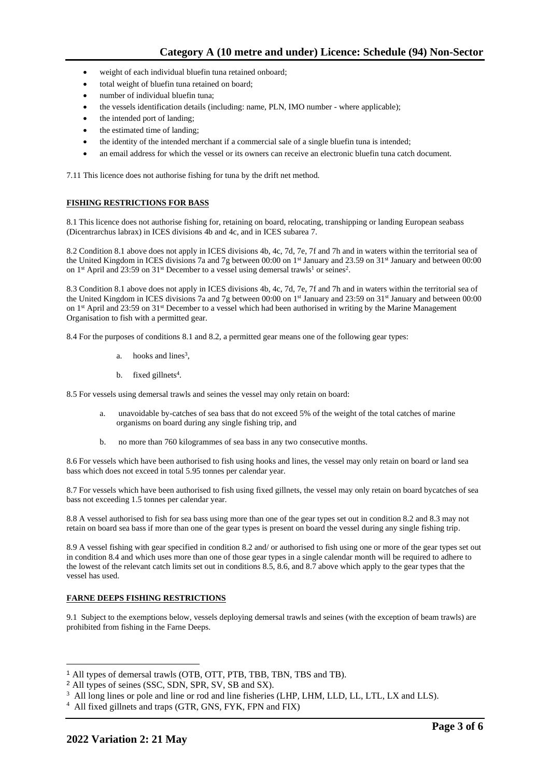- weight of each individual bluefin tuna retained onboard;
- total weight of bluefin tuna retained on board;
- number of individual bluefin tuna;
- the vessels identification details (including: name, PLN, IMO number where applicable);
- the intended port of landing;
- the estimated time of landing;
- the identity of the intended merchant if a commercial sale of a single bluefin tuna is intended;
- an email address for which the vessel or its owners can receive an electronic bluefin tuna catch document.

7.11 This licence does not authorise fishing for tuna by the drift net method.

#### **FISHING RESTRICTIONS FOR BASS**

8.1 This licence does not authorise fishing for, retaining on board, relocating, transhipping or landing European seabass (Dicentrarchus labrax) in ICES divisions 4b and 4c, and in ICES subarea 7.

8.2 Condition 8.1 above does not apply in ICES divisions 4b, 4c, 7d, 7e, 7f and 7h and in waters within the territorial sea of the United Kingdom in ICES divisions 7a and 7g between 00:00 on 1st January and 23.59 on 31st January and between 00:00 on 1<sup>st</sup> April and 23:59 on 31<sup>st</sup> December to a vessel using demersal trawls<sup>1</sup> or seines<sup>2</sup>.

8.3 Condition 8.1 above does not apply in ICES divisions 4b, 4c, 7d, 7e, 7f and 7h and in waters within the territorial sea of the United Kingdom in ICES divisions 7a and 7g between 00:00 on 1<sup>st</sup> January and 23:59 on 31<sup>st</sup> January and between 00:00 on 1<sup>st</sup> April and 23:59 on 31<sup>st</sup> December to a vessel which had been authorised in writing by the Marine Management Organisation to fish with a permitted gear.

8.4 For the purposes of conditions 8.1 and 8.2, a permitted gear means one of the following gear types:

- a. hooks and lines<sup>3</sup>,
- b. fixed gillnets<sup>4</sup>.

8.5 For vessels using demersal trawls and seines the vessel may only retain on board:

- a. unavoidable by-catches of sea bass that do not exceed 5% of the weight of the total catches of marine organisms on board during any single fishing trip, and
- b. no more than 760 kilogrammes of sea bass in any two consecutive months.

8.6 For vessels which have been authorised to fish using hooks and lines, the vessel may only retain on board or land sea bass which does not exceed in total 5.95 tonnes per calendar year.

8.7 For vessels which have been authorised to fish using fixed gillnets, the vessel may only retain on board bycatches of sea bass not exceeding 1.5 tonnes per calendar year.

8.8 A vessel authorised to fish for sea bass using more than one of the gear types set out in condition 8.2 and 8.3 may not retain on board sea bass if more than one of the gear types is present on board the vessel during any single fishing trip.

8.9 A vessel fishing with gear specified in condition 8.2 and/ or authorised to fish using one or more of the gear types set out in condition 8.4 and which uses more than one of those gear types in a single calendar month will be required to adhere to the lowest of the relevant catch limits set out in conditions 8.5, 8.6, and 8.7 above which apply to the gear types that the vessel has used.

#### **FARNE DEEPS FISHING RESTRICTIONS**

9.1 Subject to the exemptions below, vessels deploying demersal trawls and seines (with the exception of beam trawls) are prohibited from fishing in the Farne Deeps.

<sup>1</sup> All types of demersal trawls (OTB, OTT, PTB, TBB, TBN, TBS and TB).

<sup>2</sup> All types of seines (SSC, SDN, SPR, SV, SB and SX).

<sup>&</sup>lt;sup>3</sup> All long lines or pole and line or rod and line fisheries (LHP, LHM, LLD, LL, LTL, LX and LLS).

<sup>4</sup> All fixed gillnets and traps (GTR, GNS, FYK, FPN and FIX)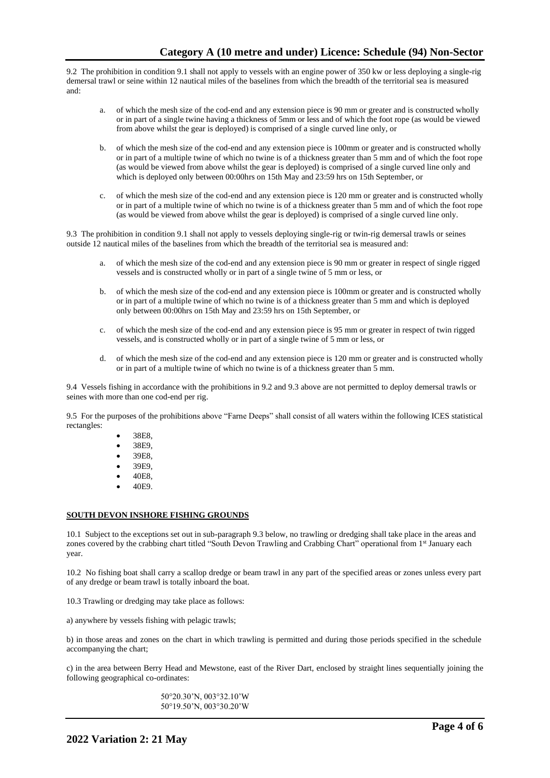9.2 The prohibition in condition 9.1 shall not apply to vessels with an engine power of 350 kw or less deploying a single-rig demersal trawl or seine within 12 nautical miles of the baselines from which the breadth of the territorial sea is measured and:

- a. of which the mesh size of the cod-end and any extension piece is 90 mm or greater and is constructed wholly or in part of a single twine having a thickness of 5mm or less and of which the foot rope (as would be viewed from above whilst the gear is deployed) is comprised of a single curved line only, or
- b. of which the mesh size of the cod-end and any extension piece is 100mm or greater and is constructed wholly or in part of a multiple twine of which no twine is of a thickness greater than 5 mm and of which the foot rope (as would be viewed from above whilst the gear is deployed) is comprised of a single curved line only and which is deployed only between 00:00 hrs on 15th May and 23:59 hrs on 15th September, or
- c. of which the mesh size of the cod-end and any extension piece is 120 mm or greater and is constructed wholly or in part of a multiple twine of which no twine is of a thickness greater than 5 mm and of which the foot rope (as would be viewed from above whilst the gear is deployed) is comprised of a single curved line only.

9.3 The prohibition in condition 9.1 shall not apply to vessels deploying single-rig or twin-rig demersal trawls or seines outside 12 nautical miles of the baselines from which the breadth of the territorial sea is measured and:

- a. of which the mesh size of the cod-end and any extension piece is 90 mm or greater in respect of single rigged vessels and is constructed wholly or in part of a single twine of 5 mm or less, or
- b. of which the mesh size of the cod-end and any extension piece is 100mm or greater and is constructed wholly or in part of a multiple twine of which no twine is of a thickness greater than 5 mm and which is deployed only between 00:00hrs on 15th May and 23:59 hrs on 15th September, or
- c. of which the mesh size of the cod-end and any extension piece is 95 mm or greater in respect of twin rigged vessels, and is constructed wholly or in part of a single twine of 5 mm or less, or
- d. of which the mesh size of the cod-end and any extension piece is 120 mm or greater and is constructed wholly or in part of a multiple twine of which no twine is of a thickness greater than 5 mm.

9.4 Vessels fishing in accordance with the prohibitions in 9.2 and 9.3 above are not permitted to deploy demersal trawls or seines with more than one cod-end per rig.

9.5 For the purposes of the prohibitions above "Farne Deeps" shall consist of all waters within the following ICES statistical rectangles:

- 38E8,
- 38E9,
- 39E8,
- 39E9,
- 40E8,
- 40E9.

# **SOUTH DEVON INSHORE FISHING GROUNDS**

10.1 Subject to the exceptions set out in sub-paragraph 9.3 below, no trawling or dredging shall take place in the areas and zones covered by the crabbing chart titled "South Devon Trawling and Crabbing Chart" operational from 1st January each year.

10.2 No fishing boat shall carry a scallop dredge or beam trawl in any part of the specified areas or zones unless every part of any dredge or beam trawl is totally inboard the boat.

10.3 Trawling or dredging may take place as follows:

a) anywhere by vessels fishing with pelagic trawls;

b) in those areas and zones on the chart in which trawling is permitted and during those periods specified in the schedule accompanying the chart;

c) in the area between Berry Head and Mewstone, east of the River Dart, enclosed by straight lines sequentially joining the following geographical co-ordinates:

> 50°20.30'N, 003°32.10'W 50°19.50'N, 003°30.20'W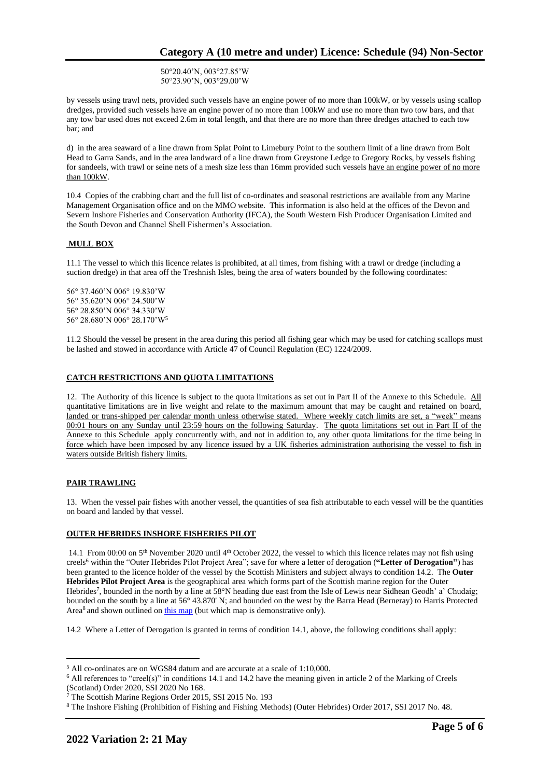50°20.40'N, 003°27.85'W 50°23.90'N, 003°29.00'W

by vessels using trawl nets, provided such vessels have an engine power of no more than 100kW, or by vessels using scallop dredges, provided such vessels have an engine power of no more than 100kW and use no more than two tow bars, and that any tow bar used does not exceed 2.6m in total length, and that there are no more than three dredges attached to each tow bar; and

d) in the area seaward of a line drawn from Splat Point to Limebury Point to the southern limit of a line drawn from Bolt Head to Garra Sands, and in the area landward of a line drawn from Greystone Ledge to Gregory Rocks, by vessels fishing for sandeels, with trawl or seine nets of a mesh size less than 16mm provided such vessels have an engine power of no more than 100kW.

10.4 Copies of the crabbing chart and the full list of co-ordinates and seasonal restrictions are available from any Marine Management Organisation office and on the MMO website. This information is also held at the offices of the Devon and Severn Inshore Fisheries and Conservation Authority (IFCA), the South Western Fish Producer Organisation Limited and the South Devon and Channel Shell Fishermen's Association.

# **MULL BOX**

11.1 The vessel to which this licence relates is prohibited, at all times, from fishing with a trawl or dredge (including a suction dredge) in that area off the Treshnish Isles, being the area of waters bounded by the following coordinates:

56° 37.460'N 006° 19.830'W 56° 35.620'N 006° 24.500'W 56° 28.850'N 006° 34.330'W 56° 28.680'N 006° 28.170'W<sup>5</sup>

11.2 Should the vessel be present in the area during this period all fishing gear which may be used for catching scallops must be lashed and stowed in accordance with Article 47 of Council Regulation (EC) 1224/2009.

# **CATCH RESTRICTIONS AND QUOTA LIMITATIONS**

12. The Authority of this licence is subject to the quota limitations as set out in Part II of the Annexe to this Schedule. All quantitative limitations are in live weight and relate to the maximum amount that may be caught and retained on board, landed or trans-shipped per calendar month unless otherwise stated. Where weekly catch limits are set, a "week" means 00:01 hours on any Sunday until 23:59 hours on the following Saturday. The quota limitations set out in Part II of the Annexe to this Schedule apply concurrently with, and not in addition to, any other quota limitations for the time being in force which have been imposed by any licence issued by a UK fisheries administration authorising the vessel to fish in waters outside British fishery limits.

# **PAIR TRAWLING**

13. When the vessel pair fishes with another vessel, the quantities of sea fish attributable to each vessel will be the quantities on board and landed by that vessel.

# **OUTER HEBRIDES INSHORE FISHERIES PILOT**

14.1 From 00:00 on  $5<sup>th</sup>$  November 2020 until  $4<sup>th</sup>$  October 2022, the vessel to which this licence relates may not fish using creels<sup>6</sup> within the "Outer Hebrides Pilot Project Area"; save for where a letter of derogation (**"Letter of Derogation"**) has been granted to the licence holder of the vessel by the Scottish Ministers and subject always to condition 14.2. The **Outer Hebrides Pilot Project Area** is the geographical area which forms part of the Scottish marine region for the Outer Hebrides<sup>7</sup>, bounded in the north by a line at 58°N heading due east from the Isle of Lewis near Sidhean Geodh' a' Chudaig; bounded on the south by a line at 56° 43.870' N; and bounded on the west by the Barra Head (Berneray) to Harris Protected Area<sup>8</sup> and shown outlined on [this map](https://www.gov.scot/publications/outer-hebrides-inshore-fisheries-pilot-area) (but which map is demonstrative only).

14.2 Where a Letter of Derogation is granted in terms of condition 14.1, above, the following conditions shall apply:

<sup>5</sup> All co-ordinates are on WGS84 datum and are accurate at a scale of 1:10,000.

<sup>6</sup> All references to "creel(s)" in conditions 14.1 and 14.2 have the meaning given in article 2 of the Marking of Creels (Scotland) Order 2020, SSI 2020 No 168.

<sup>7</sup> The Scottish Marine Regions Order 2015, SSI 2015 No. 193

<sup>8</sup> The Inshore Fishing (Prohibition of Fishing and Fishing Methods) (Outer Hebrides) Order 2017, SSI 2017 No. 48.